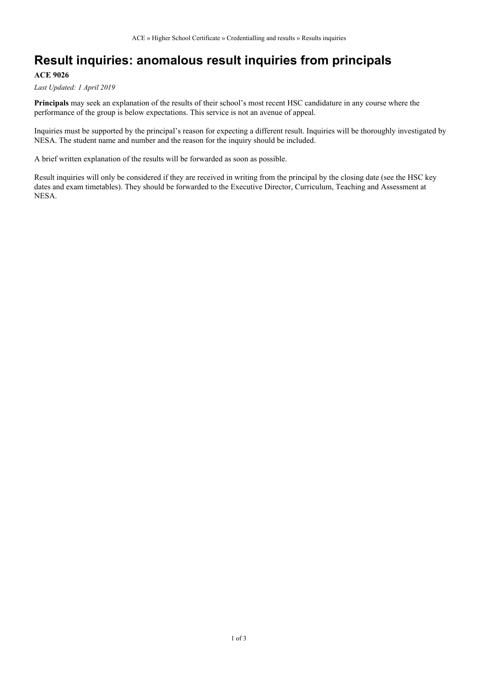## **Result inquiries: anomalous result inquiries from principals**

#### **ACE 9026**

*Last Updated: 1 April 2019*

**Principals** may seek an explanation of the results of their school's most recent HSC candidature in any course where the performance of the group is below expectations. This service is not an avenue of appeal.

Inquiries must be supported by the principal's reason for expecting a different result. Inquiries will be thoroughly investigated by NESA. The student name and number and the reason for the inquiry should be included.

A brief written explanation of the results will be forwarded as soon as possible.

Result inquiries will only be considered if they are received in writing from the principal by the closing date (see the HSC key dates and exam timetables). They should be forwarded to the Executive Director, Curriculum, Teaching and Assessment at NESA.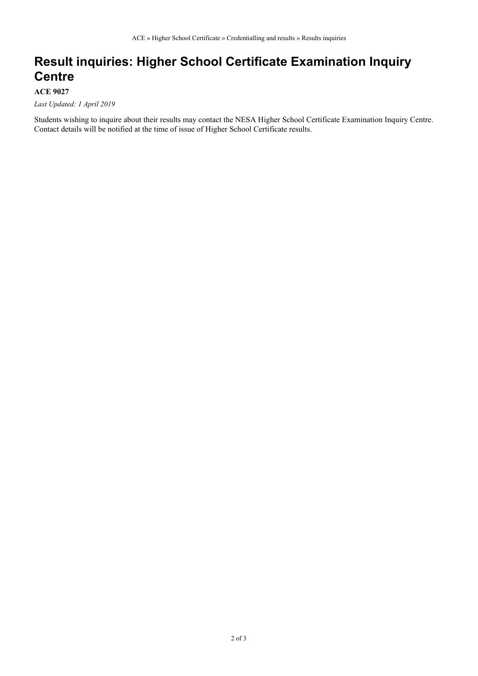### **Result inquiries: Higher School Certificate Examination Inquiry Centre**

#### **ACE 9027**

*Last Updated: 1 April 2019*

Students wishing to inquire about their results may contact the NESA Higher School Certificate Examination Inquiry Centre. Contact details will be notified at the time of issue of Higher School Certificate results.